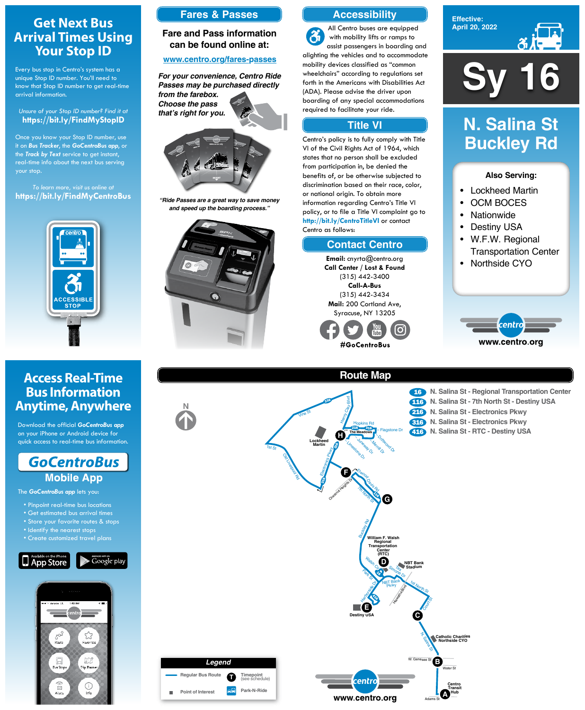**Sy 16**

**Effective: April 20, 2022**



### **Also Serving:**

- Lockheed Martin
- OCM BOCES
- Nationwide
- Destiny USA
- W.F.W. Regional Transportation Center
- Northside CYO



# **N. Salina St Buckley Rd**

## **Get Next Bus Arrival Times Using Your Stop ID**

Every bus stop in Centro's system has a unique Stop ID number. You'll need to know that Stop ID number to get real-time arrival information.

### *Unsure of your Stop ID number? Find it at* **https://bit.ly/FindMyStopID**

Once you know your Stop ID number, use it on *Bus Tracker*, the *GoCentroBus app*, or the *Track by Text* service to get instant, real-time info about the next bus serving your stop.

#### **Route Map** <sup>216</sup> **N. Salina St - Electronics Pkwy** <sup>116</sup> **N. Salina St - 7th North St - Destiny USA** <sup>16</sup> **N. Salina St - Regional Transportation Center** <sup>316</sup> **N. Salina St - Electronics Pkwy 416** N. Salina St - RTC - Destiny USA 316 يم<br>م रू  $\frac{1}{2}$ **The Meadows** Vine St 1st  $St$ Old Liverpool Electronics Pkwy 7th North St <sup>E</sup>lwoo<sup>d</sup> Davis Rd Chestnut Heights Dr **G F H Lockheed Martin** – Limestone Dr – Juneway Dr Merrill Dr. <sup>Sp</sup>riftwood Dr. – Flagstone Dr ざ Hopkins Rd enry Clay Blvd

*To learn more, visit us online at* **https://bit.ly/FindMyCentroBus**



## **Access Real-Time Bus Information Anytime, Anywhere**

Download the official *GoCentroBus app* on your iPhone or Android device for quick access to real-time bus information.



The *GoCentroBus app* lets you:

- Pinpoint real-time bus locations
- Get estimated bus arrival times
- 



- Identify the nearest stops
- Create customized travel plans







### **Accessibility**

### **Contact Centro**

### **Title VI**

All Centro buses are equipped  $\mathbf{a}$ with mobility lifts or ramps to assist passengers in boarding and alighting the vehicles and to accommodate mobility devices classified as "common wheelchairs" according to regulations set forth in the Americans with Disabilities Act (ADA). Please advise the driver upon boarding of any special accommodations required to facilitate your ride.

Centro's policy is to fully comply with Title VI of the Civil Rights Act of 1964, which states that no person shall be excluded from participation in, be denied the benefits of, or be otherwise subjected to discrimination based on their race, color, or national origin. To obtain more information regarding Centro's Title VI policy, or to file a Title VI complaint go to **http://bit.ly/CentroTitleVI** or contact Centro as follows:

> **Email:** cnyrta@centro.org **Call Center / Lost & Found** (315) 442-3400 **Call-A-Bus** (315) 442-3434 **Mail:** 200 Cortland Ave, Syracuse, NY 13205



## **Fares & Passes**

### **Fare and Pass information can be found online at:**

### **www.centro.org/fares-passes**



*"Ride Passes are a great way to save money and speed up the boarding process."*



*For your convenience, Centro Ride Passes may be purchased directly from the farebox. Choose the pass that's right for you.*